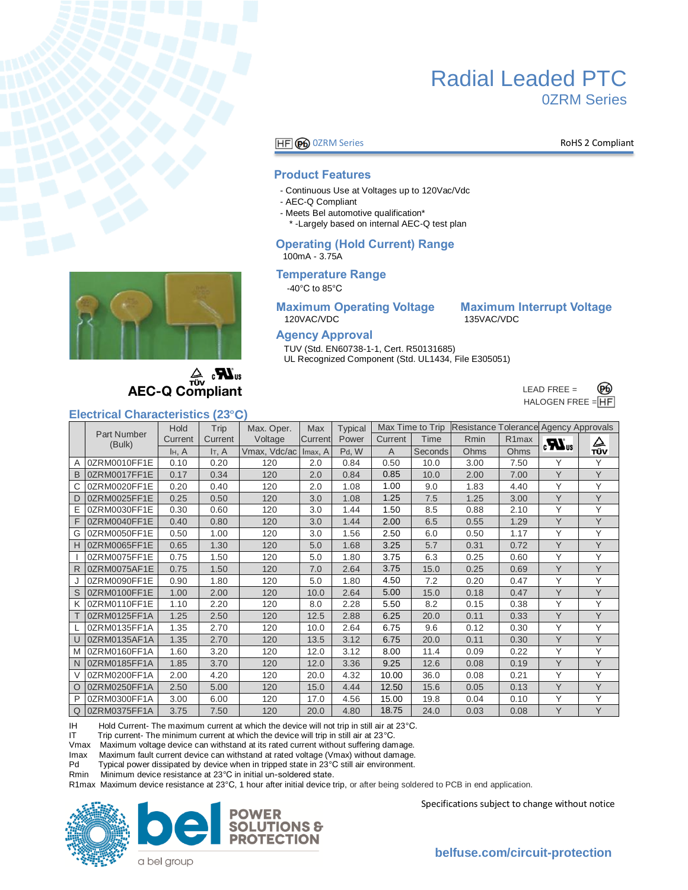

## Radial Leaded PTC 0ZRM Series

#### **HF GO** OZRM Series **RoHS 2 Compliant**

#### **Product Features**

- Continuous Use at Voltages up to 120Vac/Vdc
- AEC-Q Compliant
- Meets Bel automotive qualification\*
- \* -Largely based on internal AEC-Q test plan

#### **Operating (Hold Current) Range**  100mA - 3.75A

#### **Temperature Range**

-40°C to 85°C

## **Maximum Operating Voltage Maximum Interrupt Voltage**

120VAC/VDC 135VAC/VDC

#### **Agency Approval**

TUV (Std. EN60738-1-1, Cert. R50131685) UL Recognized Component (Std. UL1434, File E305051)

> LEAD FREE  $=$ ക്ക HALOGEN FREE = HF



**AEC-Q Compliant** 

#### **Electrical Characteristics (23 )**

| Littlinual Ullaratturiollus<br>$\sim$ |                    |         |         |              |         |                |         |                  |                                       |                    |                                |     |
|---------------------------------------|--------------------|---------|---------|--------------|---------|----------------|---------|------------------|---------------------------------------|--------------------|--------------------------------|-----|
|                                       | <b>Part Number</b> | Hold    | Trip    | Max. Oper.   | Max     | <b>Typical</b> |         | Max Time to Trip | Resistance Tolerance Agency Approvals |                    |                                |     |
|                                       | (Bulk)             | Current | Current | Voltage      | Current | Power          | Current | Time             | Rmin                                  | R <sub>1</sub> max | $\boldsymbol{H}$ <sub>us</sub> | △   |
|                                       |                    | H, A    | IT, A   | Vmax, Vdc/ac | Imax, A | Pd, W          | A       | <b>Seconds</b>   | Ohms                                  | Ohms               |                                | TÜV |
| A                                     | 0ZRM0010FF1E       | 0.10    | 0.20    | 120          | 2.0     | 0.84           | 0.50    | 10.0             | 3.00                                  | 7.50               | Υ                              | Y   |
| B                                     | 0ZRM0017FF1E       | 0.17    | 0.34    | 120          | 2.0     | 0.84           | 0.85    | 10.0             | 2.00                                  | 7.00               | Y                              | Y   |
| C                                     | 0ZRM0020FF1E       | 0.20    | 0.40    | 120          | 2.0     | 1.08           | 1.00    | 9.0              | 1.83                                  | 4.40               | Υ                              | Y   |
| D                                     | 0ZRM0025FF1E       | 0.25    | 0.50    | 120          | 3.0     | 1.08           | 1.25    | 7.5              | 1.25                                  | 3.00               | Y                              | Y   |
| E                                     | 0ZRM0030FF1E       | 0.30    | 0.60    | 120          | 3.0     | 1.44           | 1.50    | 8.5              | 0.88                                  | 2.10               | Υ                              | Y   |
| F                                     | 0ZRM0040FF1E       | 0.40    | 0.80    | 120          | 3.0     | 1.44           | 2.00    | 6.5              | 0.55                                  | 1.29               | Y                              | Y   |
| G                                     | 0ZRM0050FF1E       | 0.50    | 1.00    | 120          | 3.0     | 1.56           | 2.50    | 6.0              | 0.50                                  | 1.17               | Υ                              | Y   |
| H                                     | 0ZRM0065FF1E       | 0.65    | 1.30    | 120          | 5.0     | 1.68           | 3.25    | 5.7              | 0.31                                  | 0.72               | Y                              | Y   |
|                                       | 0ZRM0075FF1E       | 0.75    | 1.50    | 120          | 5.0     | 1.80           | 3.75    | 6.3              | 0.25                                  | 0.60               | Υ                              | Υ   |
| R                                     | 0ZRM0075AF1E       | 0.75    | 1.50    | 120          | 7.0     | 2.64           | 3.75    | 15.0             | 0.25                                  | 0.69               | Y                              | Y   |
|                                       | 0ZRM0090FF1E       | 0.90    | 1.80    | 120          | 5.0     | 1.80           | 4.50    | 7.2              | 0.20                                  | 0.47               | Υ                              | Υ   |
| S                                     | 0ZRM0100FF1E       | 1.00    | 2.00    | 120          | 10.0    | 2.64           | 5.00    | 15.0             | 0.18                                  | 0.47               | Y                              | Y   |
| Κ                                     | 0ZRM0110FF1E       | 1.10    | 2.20    | 120          | 8.0     | 2.28           | 5.50    | 8.2              | 0.15                                  | 0.38               | Y                              | Y   |
|                                       | 0ZRM0125FF1A       | 1.25    | 2.50    | 120          | 12.5    | 2.88           | 6.25    | 20.0             | 0.11                                  | 0.33               | Y                              | Y   |
|                                       | 0ZRM0135FF1A       | 1.35    | 2.70    | 120          | 10.0    | 2.64           | 6.75    | 9.6              | 0.12                                  | 0.30               | Y                              | Y   |
| $\cup$                                | 0ZRM0135AF1A       | 1.35    | 2.70    | 120          | 13.5    | 3.12           | 6.75    | 20.0             | 0.11                                  | 0.30               | Y                              | Y   |
| M                                     | 0ZRM0160FF1A       | 1.60    | 3.20    | 120          | 12.0    | 3.12           | 8.00    | 11.4             | 0.09                                  | 0.22               | Y                              | Y   |
| $\mathsf{N}$                          | 0ZRM0185FF1A       | 1.85    | 3.70    | 120          | 12.0    | 3.36           | 9.25    | 12.6             | 0.08                                  | 0.19               | Y                              | Y   |
| V                                     | 0ZRM0200FF1A       | 2.00    | 4.20    | 120          | 20.0    | 4.32           | 10.00   | 36.0             | 0.08                                  | 0.21               | Y                              | Y   |
| $\circ$                               | 0ZRM0250FF1A       | 2.50    | 5.00    | 120          | 15.0    | 4.44           | 12.50   | 15.6             | 0.05                                  | 0.13               | Y                              | Y   |
| P                                     | 0ZRM0300FF1A       | 3.00    | 6.00    | 120          | 17.0    | 4.56           | 15.00   | 19.8             | 0.04                                  | 0.10               | Y                              | Y   |
| Q                                     | 0ZRM0375FF1A       | 3.75    | 7.50    | 120          | 20.0    | 4.80           | 18.75   | 24.0             | 0.03                                  | 0.08               | Y                              | Y   |

IH Hold Current- The maximum current at which the device will not trip in still air at 23°C.<br>IT Trip current- The minimum current at which the device will trip in still air at 23°C.

IT Trip current- The minimum current at which the device will trip in still air at 23°C.<br>Vmax Maximum voltage device can withstand at its rated current without suffering dan

Maximum voltage device can withstand at its rated current without suffering damage.

Imax Maximum fault current device can withstand at rated voltage (Vmax) without damage.<br>Pd Typical power dissipated by device when in tripped state in 23°C still air environment.

Pd Typical power dissipated by device when in tripped state in 23°C still air environment.<br>Rmin Minimum device resistance at 23°C in initial un-soldered state.

Minimum device resistance at 23°C in initial un-soldered state.

R1max Maximum device resistance at 23°C, 1 hour after initial device trip, or after being soldered to PCB in end application.





Specifications subject to change without notice

a bel group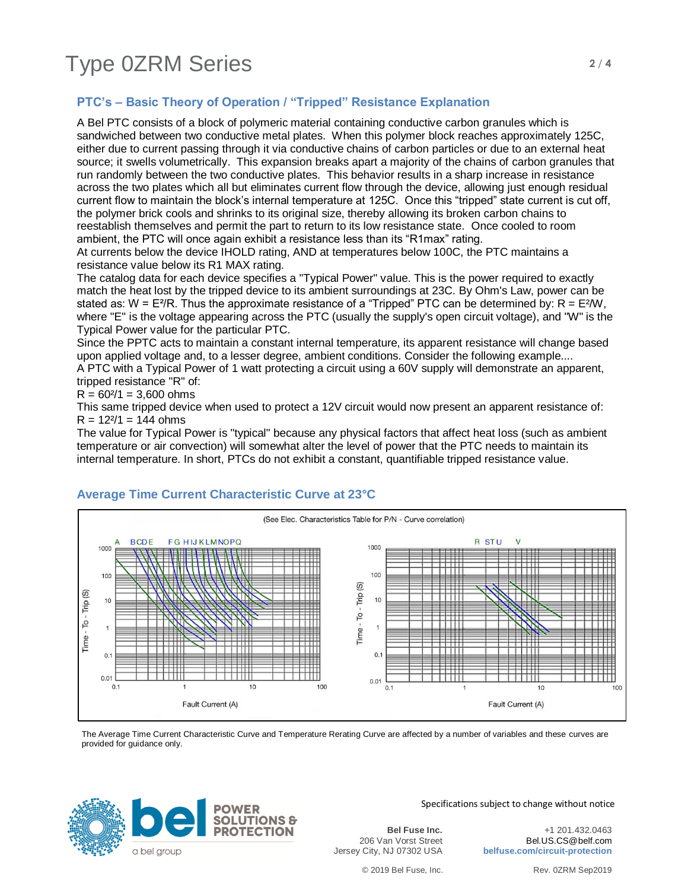### **PTC's – Basic Theory of Operation / "Tripped" Resistance Explanation**

A Bel PTC consists of a block of polymeric material containing conductive carbon granules which is sandwiched between two conductive metal plates. When this polymer block reaches approximately 125C, either due to current passing through it via conductive chains of carbon particles or due to an external heat source; it swells volumetrically. This expansion breaks apart a majority of the chains of carbon granules that run randomly between the two conductive plates. This behavior results in a sharp increase in resistance across the two plates which all but eliminates current flow through the device, allowing just enough residual current flow to maintain the block's internal temperature at 125C. Once this "tripped" state current is cut off, the polymer brick cools and shrinks to its original size, thereby allowing its broken carbon chains to reestablish themselves and permit the part to return to its low resistance state. Once cooled to room ambient, the PTC will once again exhibit a resistance less than its "R1max" rating.

At currents below the device IHOLD rating, AND at temperatures below 100C, the PTC maintains a resistance value below its R1 MAX rating.

The catalog data for each device specifies a "Typical Power" value. This is the power required to exactly match the heat lost by the tripped device to its ambient surroundings at 23C. By Ohm's Law, power can be stated as:  $W = E^{2}/R$ . Thus the approximate resistance of a "Tripped" PTC can be determined by:  $R = E^{2}/W$ , where "E" is the voltage appearing across the PTC (usually the supply's open circuit voltage), and "W" is the Typical Power value for the particular PTC.

Since the PPTC acts to maintain a constant internal temperature, its apparent resistance will change based upon applied voltage and, to a lesser degree, ambient conditions. Consider the following example.... A PTC with a Typical Power of 1 watt protecting a circuit using a 60V supply will demonstrate an apparent, tripped resistance "R" of:

 $R = 60<sup>2</sup>/1 = 3,600$  ohms

This same tripped device when used to protect a 12V circuit would now present an apparent resistance of:  $R = 12^{2}/1 = 144$  ohms

The value for Typical Power is "typical" because any physical factors that affect heat loss (such as ambient temperature or air convection) will somewhat alter the level of power that the PTC needs to maintain its internal temperature. In short, PTCs do not exhibit a constant, quantifiable tripped resistance value.



#### **Average Time Current Characteristic Curve at 23°C**

The Average Time Current Characteristic Curve and Temperature Rerating Curve are affected by a number of variables and these curves are provided for guidance only.



Specifications subject to change without notice

**Bel Fuse Inc.** 206 Van Vorst Street Jersey City, NJ 07302 USA

+1 201.432.0463 Bel.US.CS@belf.com **belfuse.com/circuit-protection**

© 2019 Bel Fuse, Inc. Rev. 0ZRM Sep2019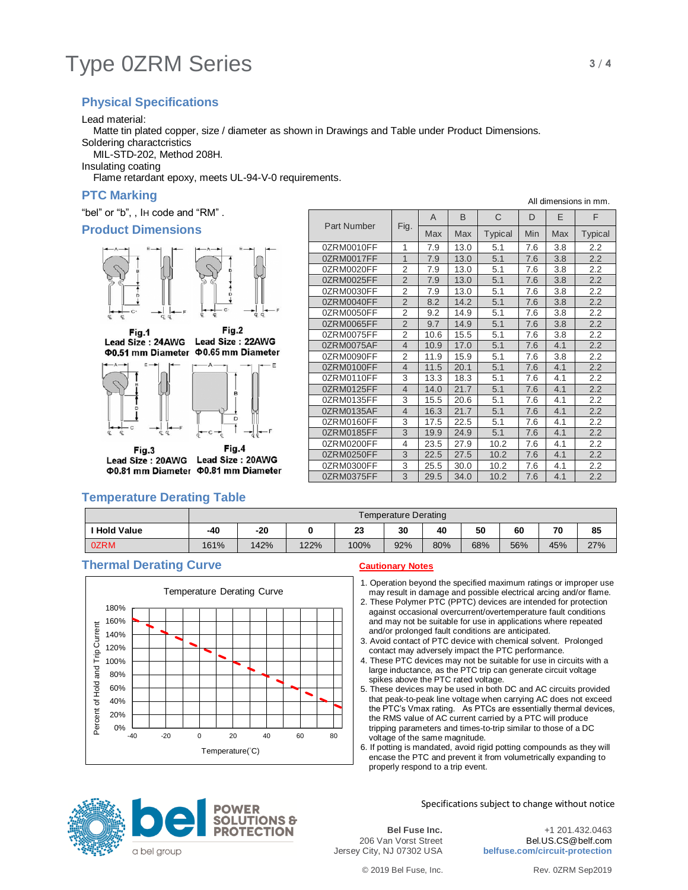# Type 0ZRM Series **3/4**

### **Physical Specifications**

Lead material:

Matte tin plated copper, size / diameter as shown in Drawings and Table under Product Dimensions.

Soldering charactcristics

MIL-STD-202, Method 208H.

Insulating coating

Flame retardant epoxy, meets UL-94-V-0 requirements.

#### **PTC Marking**

"bel" or "b", , IH code and "RM" .

#### **Product Dimensions**



Fig.2 Fig.1 Lead Size: 24AWG Lead Size: 22AWG Φ0.51 mm Diameter Φ0.65 mm Diameter



Fig.3 Lead Size: 20AWG Lead Size: 20AWG Φ0.81 mm Diameter Φ0.81 mm Diameter

| Part Number |                | A    | B    | C              | D   | E.  | F              |
|-------------|----------------|------|------|----------------|-----|-----|----------------|
|             | Fig.           | Max  | Max  | <b>Typical</b> | Min | Max | <b>Typical</b> |
| 0ZRM0010FF  | 1              | 7.9  | 13.0 | 5.1            | 7.6 | 3.8 | 2.2            |
| 0ZRM0017FF  | $\mathbf{1}$   | 7.9  | 13.0 | 5.1            | 7.6 | 3.8 | 2.2            |
| 0ZRM0020FF  | $\overline{2}$ | 7.9  | 13.0 | 5.1            | 7.6 | 3.8 | 2.2            |
| 0ZRM0025FF  | $\overline{2}$ | 7.9  | 13.0 | 5.1            | 7.6 | 3.8 | 2.2            |
| 0ZRM0030FF  | 2              | 7.9  | 13.0 | 5.1            | 7.6 | 3.8 | 2.2            |
| 0ZRM0040FF  | $\overline{2}$ | 8.2  | 14.2 | 5.1            | 7.6 | 3.8 | 2.2            |
| 0ZRM0050FF  | 2              | 9.2  | 14.9 | 5.1            | 7.6 | 3.8 | 2.2            |
| 0ZRM0065FF  | $\overline{2}$ | 9.7  | 14.9 | 5.1            | 7.6 | 3.8 | 2.2            |
| 0ZRM0075FF  | $\overline{2}$ | 10.6 | 15.5 | 5.1            | 7.6 | 3.8 | 2.2            |
| 0ZRM0075AF  | $\overline{4}$ | 10.9 | 17.0 | 5.1            | 7.6 | 4.1 | 2.2            |
| 0ZRM0090FF  | $\overline{2}$ | 11.9 | 15.9 | 5.1            | 7.6 | 3.8 | 2.2            |
| 0ZRM0100FF  | 4              | 11.5 | 20.1 | 5.1            | 7.6 | 4.1 | 2.2            |
| 0ZRM0110FF  | 3              | 13.3 | 18.3 | 5.1            | 7.6 | 4.1 | 2.2            |
| 0ZRM0125FF  | $\overline{4}$ | 14.0 | 21.7 | 5.1            | 7.6 | 4.1 | 2.2            |
| 0ZRM0135FF  | 3              | 15.5 | 20.6 | 5.1            | 7.6 | 4.1 | 2.2            |
| 0ZRM0135AF  | $\overline{4}$ | 16.3 | 21.7 | 5.1            | 7.6 | 4.1 | 2.2            |
| 0ZRM0160FF  | 3              | 17.5 | 22.5 | 5.1            | 7.6 | 4.1 | 2.2            |
| 0ZRM0185FF  | 3              | 19.9 | 24.9 | 5.1            | 7.6 | 4.1 | 2.2            |
| 0ZRM0200FF  | 4              | 23.5 | 27.9 | 10.2           | 7.6 | 4.1 | 2.2            |
| 0ZRM0250FF  | 3              | 22.5 | 27.5 | 10.2           | 7.6 | 4.1 | 2.2            |
| 0ZRM0300FF  | 3              | 25.5 | 30.0 | 10.2           | 7.6 | 4.1 | 2.2            |
| 0ZRM0375FF  | 3              | 29.5 | 34.0 | 10.2           | 7.6 | 4.1 | 2.2            |

#### **Temperature Derating Table**

|                   | Temperature Derating |      |      |      |     |     |     |     |     |     |
|-------------------|----------------------|------|------|------|-----|-----|-----|-----|-----|-----|
| <b>Hold Value</b> | -40                  | -20  |      | 23   | 30  | 40  | 50  | 60  | 70  | 85  |
| 0ZRM              | 161%                 | 142% | 122% | 100% | 92% | 80% | 68% | 56% | 45% | 27% |

#### **Thermal Derating Curve Cautionary Notes**



- 1. Operation beyond the specified maximum ratings or improper use may result in damage and possible electrical arcing and/or flame.
- 2. These Polymer PTC (PPTC) devices are intended for protection against occasional overcurrent/overtemperature fault conditions and may not be suitable for use in applications where repeated and/or prolonged fault conditions are anticipated.
- 3. Avoid contact of PTC device with chemical solvent. Prolonged contact may adversely impact the PTC performance.
- 4. These PTC devices may not be suitable for use in circuits with a large inductance, as the PTC trip can generate circuit voltage spikes above the PTC rated voltage.
- 5. These devices may be used in both DC and AC circuits provided that peak-to-peak line voltage when carrying AC does not exceed the PTC's Vmax rating. As PTCs are essentially thermal devices, the RMS value of AC current carried by a PTC will produce tripping parameters and times-to-trip similar to those of a DC voltage of the same magnitude.
- 6. If potting is mandated, avoid rigid potting compounds as they will encase the PTC and prevent it from volumetrically expanding to properly respond to a trip event.



Specifications subject to change without notice

**Bel Fuse Inc.** 206 Van Vorst Street Jersey City, NJ 07302 USA

+1 201.432.0463 Bel.US.CS@belf.com **belfuse.com/circuit-protection**

All dimensions in mm.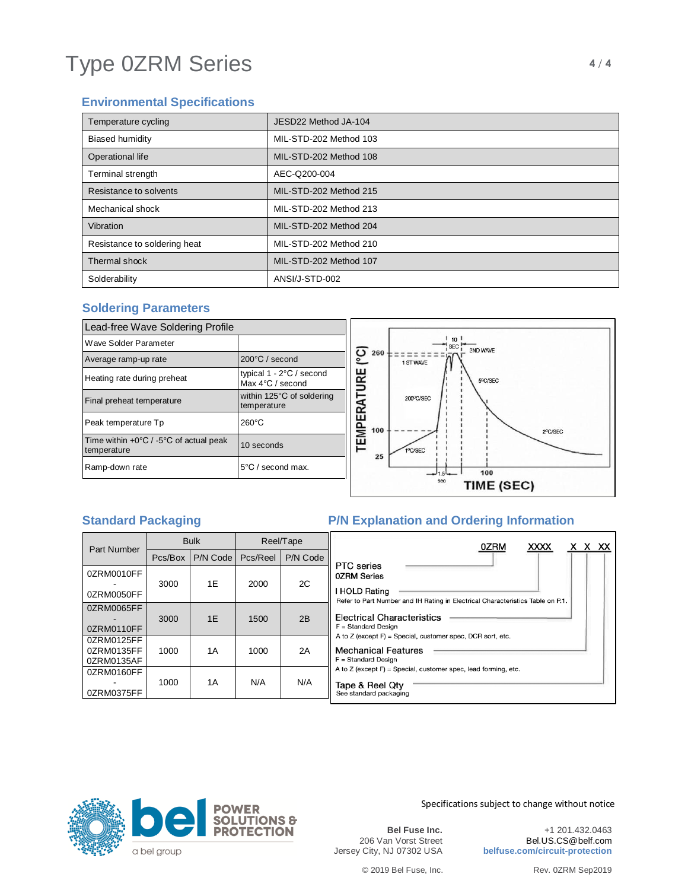# Type 0ZRM Series **4/4**

### **Environmental Specifications**

| Temperature cycling          | JESD22 Method JA-104   |
|------------------------------|------------------------|
| <b>Biased humidity</b>       | MIL-STD-202 Method 103 |
| Operational life             | MIL-STD-202 Method 108 |
| Terminal strength            | AEC-Q200-004           |
| Resistance to solvents       | MIL-STD-202 Method 215 |
| Mechanical shock             | MIL-STD-202 Method 213 |
| Vibration                    | MIL-STD-202 Method 204 |
| Resistance to soldering heat | MIL-STD-202 Method 210 |
| Thermal shock                | MIL-STD-202 Method 107 |
| Solderability                | ANSI/J-STD-002         |

#### **Soldering Parameters**

| Lead-free Wave Soldering Profile                                         |                                                                 |                   |     |       |
|--------------------------------------------------------------------------|-----------------------------------------------------------------|-------------------|-----|-------|
| Wave Solder Parameter                                                    |                                                                 |                   |     |       |
| Average ramp-up rate                                                     | 200°C / second                                                  |                   | 260 | 1 STW |
| Heating rate during preheat                                              | typical $1 - 2^{\circ}C$ / second<br>Max $4^{\circ}$ C / second |                   |     |       |
| Final preheat temperature                                                | within 125°C of soldering<br>temperature                        | <b>EMPERATURE</b> |     | 200°  |
| Peak temperature Tp                                                      | $260^{\circ}$ C                                                 |                   | 100 |       |
| Time within $+0\degree C$ / -5 $\degree C$ of actual peak<br>temperature | 10 seconds                                                      |                   | 25  | 19C/S |
| Ramp-down rate                                                           | $5^{\circ}$ C / second max.                                     |                   |     |       |



### **Standard Packaging The P/N Explanation and Ordering Information**

| <b>Part Number</b>                     | <b>Bulk</b> |          | Reel/Tape |          |                                      |
|----------------------------------------|-------------|----------|-----------|----------|--------------------------------------|
|                                        | Pcs/Box     | P/N Code | Pcs/Reel  | P/N Code | PTC <sub>so</sub>                    |
| 0ZRM0010FF                             |             |          |           |          | 0ZRM S                               |
| 0ZRM0050FF                             | 3000        | 1E       | 2000      | 2C       | <b>I HOLD</b><br>Refer to            |
| 0ZRM0065FF<br>0ZRM0110FF               | 3000        | 1E       | 1500      | 2B       | Electri<br>$F =$ Stand               |
| 0ZRM0125FF<br>0ZRM0135FF<br>0ZRM0135AF | 1000        | 1A       | 1000      | 2A       | A to $Z$ (e)<br>Mecha<br>$F =$ Stand |
| 0ZRM0160FF<br>0ZRM0375FF               | 1000        | 1A       | N/A       | N/A      | A to $Z$ (e)<br>Tape &<br>See stan   |

| PTC series<br>0ZRM Series                                                                                         | 0ZRM | <b>XXXX</b> | x x xx |  |
|-------------------------------------------------------------------------------------------------------------------|------|-------------|--------|--|
| I HOLD Rating<br>Refer to Part Number and IH Rating in Electrical Characteristics Table on P.1.                   |      |             |        |  |
| Electrical Characteristics<br>$F = Standard Design$<br>A to Z (except F) = Special, customer spec, DCR sort, etc. |      |             |        |  |
| Mechanical Features<br>F = Standard Design<br>A to Z (except F) = Special, customer spec, lead forming, etc.      |      |             |        |  |
| Tape & Reel Qty<br>See standard packaging                                                                         |      |             |        |  |



Specifications subject to change without notice

**Bel Fuse Inc.** 206 Van Vorst Street Jersey City, NJ 07302 USA

+1 201.432.0463 Bel.US.CS@belf.com **belfuse.com/circuit-protection**

© 2019 Bel Fuse, Inc. Rev. 0ZRM Sep2019